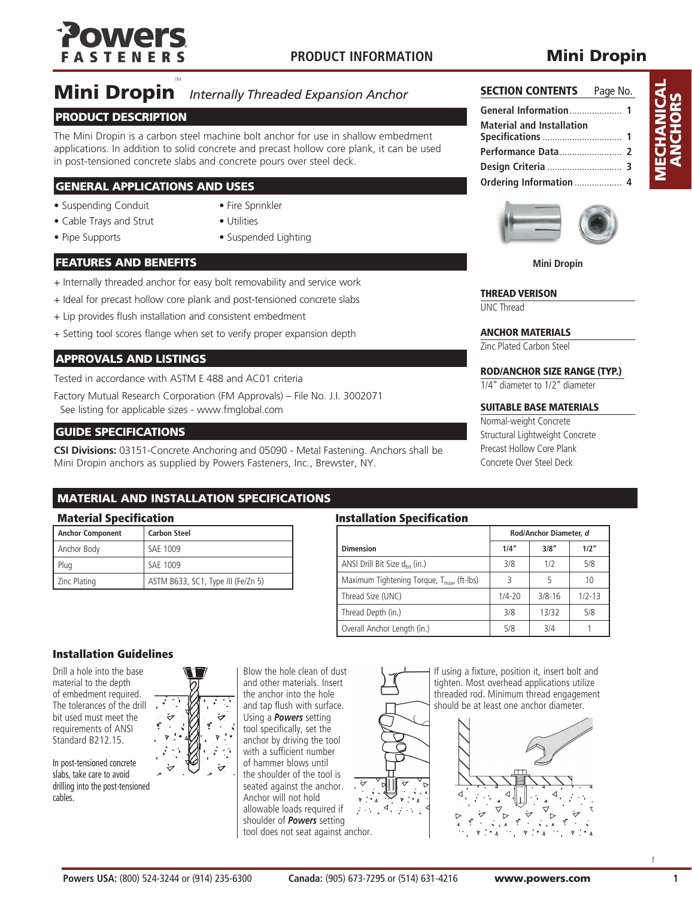

## **Mini Dropin**

# **Mini Dropin** *Internally Threaded Expansion Anchor*

### PRODUCT DESCRIPTION

The Mini Dropin is a carbon steel machine bolt anchor for use in shallow embedment applications. In addition to solid concrete and precast hollow core plank, it can be used in post-tensioned concrete slabs and concrete pours over steel deck.

### GENERAL APPLICATIONS AND USES

- Suspending Conduit Fire Sprinkler
	-
- 
- Cable Trays and Strut Utilities
- 
- 
- Pipe Supports Suspended Lighting

### FEATURES AND BENEFITS

- + Internally threaded anchor for easy bolt removability and service work
- + Ideal for precast hollow core plank and post-tensioned concrete slabs
- + Lip provides flush installation and consistent embedment
- + Setting tool scores flange when set to verify proper expansion depth

### APPROVALS AND LISTINGS

Tested in accordance with ASTM E 488 and AC01 criteria

Factory Mutual Research Corporation (FM Approvals) – File No. J.I. 3002071 See listing for applicable sizes - www.fmglobal.com

### GUIDE SPECIFICATIONS

**CSI Divisions:** 03151-Concrete Anchoring and 05090 - Metal Fastening. Anchors shall be Mini Dropin anchors as supplied by Powers Fasteners, Inc., Brewster, NY.

### MATERIAL AND INSTALLATION SPECIFICATIONS

| Anchor Component | <b>Carbon Steel</b>                |
|------------------|------------------------------------|
| Anchor Body      | SAE 1009                           |
| Plug             | SAF 1009                           |
| Zinc Plating     | ASTM B633, SC1, Type III (Fe/Zn 5) |

### Material Specification **Installation Specification**

|                                                 | Rod/Anchor Diameter, d |            |            |  |
|-------------------------------------------------|------------------------|------------|------------|--|
| <b>Dimension</b>                                | 1/4''                  | 3/8''      | 1/2"       |  |
| ANSI Drill Bit Size d <sub>hit</sub> (in.)      | 3/8                    | 1/2        | 5/8        |  |
| Maximum Tightening Torque, $T_{max}$ , (ft-lbs) | 3                      |            | 10         |  |
| Thread Size (UNC)                               | $1/4 - 20$             | $3/8 - 16$ | $1/2 - 13$ |  |
| Thread Depth (in.)                              | 3/8                    | 13/32      | 5/8        |  |
| Overall Anchor Length (in.)                     | 5/8                    | 3/4        |            |  |

### Installation Guidelines

Drill a hole into the base material to the depth of embedment required. The tolerances of the drill bit used must meet the requirements of ANSI Standard B212.15.

In post-tensioned concrete slabs, take care to avoid drilling into the post-tensioned cables.



Blow the hole clean of dust and other materials. Insert the anchor into the hole and tap flush with surface. Using a *Powers* setting tool specifically, set the anchor by driving the tool with a sufficient number of hammer blows until the shoulder of the tool is seated against the anchor. Anchor will not hold allowable loads required if shoulder of *Powers* setting tool does not seat against anchor.



If using a fixture, position it, insert bolt and tighten. Most overhead applications utilize threaded rod. Minimum thread engagement should be at least one anchor diameter.





**SECTION CONTENTS** Page No. **General Information**..................... **1**

**Specifications** ................................ **1 Performance Data**......................... **2 Design Criteria** .............................. **3 Ordering Information** ................... **4**

**Material and Installation** 

**Mini Dropin**

### THREAD VERISON

UNC Thread

### ANCHOR MATERIALS

Zinc Plated Carbon Steel

### ROD/ANCHOR SIZE RANGE (TYP.)

1/4" diameter to 1/2" diameter

### SUITABLE BASE MATERIALS

Normal-weight Concrete Structural Lightweight Concrete Precast Hollow Core Plank Concrete Over Steel Deck

f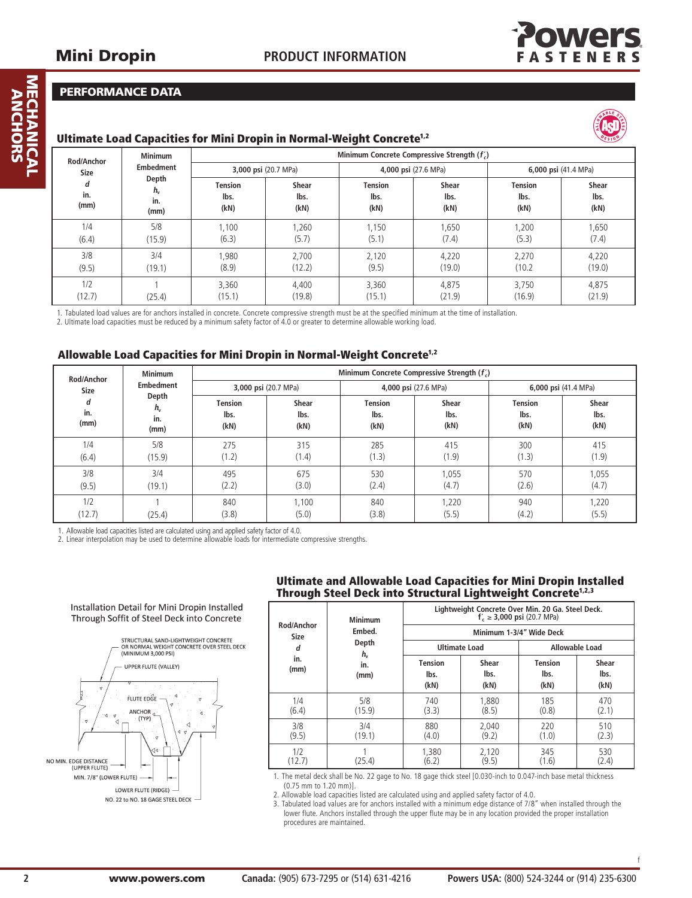

### Performance Data

### Ultimate Load Capacities for Mini Dropin in Normal-Weight Concrete<sup>1,2</sup>



| <b>Minimum</b><br>Rod/Anchor    |                                     | Minimum Concrete Compressive Strength (f) |                              |                                |                              |                                |                              |  |  |
|---------------------------------|-------------------------------------|-------------------------------------------|------------------------------|--------------------------------|------------------------------|--------------------------------|------------------------------|--|--|
| <b>Embedment</b><br><b>Size</b> |                                     | 3,000 psi (20.7 MPa)                      |                              | 4,000 psi (27.6 MPa)           |                              | 6,000 psi (41.4 MPa)           |                              |  |  |
| d<br>in.<br>(mm)                | Depth<br>$h_{\rm v}$<br>in.<br>(mm) | <b>Tension</b><br>lbs.<br>(kN)            | <b>Shear</b><br>lbs.<br>(kN) | <b>Tension</b><br>lbs.<br>(kN) | <b>Shear</b><br>lbs.<br>(kN) | <b>Tension</b><br>lbs.<br>(kN) | <b>Shear</b><br>lbs.<br>(kN) |  |  |
| 1/4                             | 5/8                                 | 1,100                                     | 1,260                        | 1,150                          | 1,650                        | 1,200                          | 1,650                        |  |  |
| (6.4)                           | (15.9)                              | (6.3)                                     | (5.7)                        | (5.1)                          | (7.4)                        | (5.3)                          | (7.4)                        |  |  |
| 3/8                             | 3/4                                 | .980                                      | 2,700                        | 2,120                          | 4,220                        | 2,270                          | 4,220                        |  |  |
| (9.5)                           | (19.1)                              | (8.9)                                     | (12.2)                       | (9.5)                          | (19.0)                       | (10.2)                         | (19.0)                       |  |  |
| 1/2                             | (25.4)                              | 3.360                                     | 4.400                        | 3,360                          | 4.875                        | 3.750                          | 4,875                        |  |  |
| (12.7)                          |                                     | (15.1)                                    | (19.8)                       | (15.1)                         | (21.9)                       | (16.9)                         | (21.9)                       |  |  |

1. Tabulated load values are for anchors installed in concrete. Concrete compressive strength must be at the specified minimum at the time of installation.

2. Ultimate load capacities must be reduced by a minimum safety factor of 4.0 or greater to determine allowable working load.

### Allowable Load Capacities for Mini Dropin in Normal-Weight Concrete<sup>1,2</sup>

| <b>Minimum</b><br>Rod/Anchor |                            | Minimum Concrete Compressive Strength $(f_c)$ |                              |                                |                       |                                |                              |  |
|------------------------------|----------------------------|-----------------------------------------------|------------------------------|--------------------------------|-----------------------|--------------------------------|------------------------------|--|
| <b>Size</b>                  | <b>Embedment</b>           | 3,000 psi (20.7 MPa)                          |                              |                                | 4,000 psi (27.6 MPa)  |                                | 6,000 psi (41.4 MPa)         |  |
| d<br>in.<br>(mm)             | Depth<br>h,<br>in.<br>(mm) | <b>Tension</b><br>lbs.<br>(kN)                | <b>Shear</b><br>lbs.<br>(kN) | <b>Tension</b><br>lbs.<br>(kN) | Shear<br>lbs.<br>(kN) | <b>Tension</b><br>lbs.<br>(kN) | <b>Shear</b><br>lbs.<br>(kN) |  |
| 1/4                          | 5/8                        | 275                                           | 315                          | 285                            | 415                   | 300                            | 415                          |  |
| (6.4)                        | (15.9)                     | (1.2)                                         | (1.4)                        | (1.3)                          | (1.9)                 | (1.3)                          | (1.9)                        |  |
| 3/8                          | 3/4                        | 495                                           | 675                          | 530                            | 1,055                 | 570                            | 1,055                        |  |
| (9.5)                        | (19.1)                     | (2.2)                                         | (3.0)                        | (2.4)                          | (4.7)                 | (2.6)                          | (4.7)                        |  |
| 1/2                          | (25.4)                     | 840                                           | 1.100                        | 840                            | 1,220                 | 940                            | 1,220                        |  |
| (12.7)                       |                            | (3.8)                                         | (5.0)                        | (3.8)                          | (5.5)                 | (4.2)                          | (5.5)                        |  |

1. Allowable load capacities listed are calculated using and applied safety factor of 4.0.

Installation Detail for Mini Dropin Installed Through Soffit of Steel Deck into Concrete

2. Linear interpolation may be used to determine allowable loads for intermediate compressive strengths.

### STRUCTURAL SAND-LIGHTWEIGHT CONCRETE<br>OR NORMAL WEIGHT CONCRETE OVER STEEL DECK<br>(MINIMUM 3,000 PSI) UPPER FLUTE (VALLEY) **FLUTE EDGE ANCHOR** (TYP) NO MIN. EDGE DISTANCI (UPPER FLUTE) MIN. 7/8" (LOWER FLUTE) LOWER FLUTE (RIDGE) NO. 22 to NO. 18 GAGE STEEL DECK

### Ultimate and Allowable Load Capacities for Mini Dropin Installed Through Steel Deck into Structural Lightweight Concrete<sup>1,2,3</sup>

| <b>Minimum</b>            | Lightweight Concrete Over Min. 20 Ga. Steel Deck.<br>$f'_{c} \ge 3,000$ psi (20.7 MPa) |                                |                       |                                |                       |  |
|---------------------------|----------------------------------------------------------------------------------------|--------------------------------|-----------------------|--------------------------------|-----------------------|--|
| Rod/Anchor<br><b>Size</b> | Embed.                                                                                 |                                |                       | Minimum 1-3/4" Wide Deck       |                       |  |
| d                         | Depth<br>$h_{\rm v}$                                                                   |                                | <b>Ultimate Load</b>  |                                | Allowable Load        |  |
| in.<br>(mm)               | in.<br>(mm)                                                                            | <b>Tension</b><br>lbs.<br>(kN) | Shear<br>lbs.<br>(kN) | <b>Tension</b><br>lbs.<br>(kN) | Shear<br>lbs.<br>(kN) |  |
| 1/4<br>(6.4)              | 5/8<br>(15.9)                                                                          | 740<br>(3.3)                   | 1.880<br>(8.5)        | 185<br>(0.8)                   | 470<br>(2.1)          |  |
| 3/8<br>(9.5)              | 3/4<br>(19.1)                                                                          | 880<br>(4.0)                   | 2.040<br>(9.2)        | 220<br>(1.0)                   | 510<br>(2.3)          |  |
| 1/2<br>(12.7)             | (25.4)                                                                                 | 1.380<br>(6.2)                 | 2,120<br>(9.5)        | 345<br>(1.6)                   | 530<br>(2.4)          |  |

1. The metal deck shall be No. 22 gage to No. 18 gage thick steel [0.030-inch to 0.047-inch base metal thickness (0.75 mm to 1.20 mm)].

2. Allowable load capacities listed are calculated using and applied safety factor of 4.0.

3. Tabulated load values are for anchors installed with a minimum edge distance of 7/8" when installed through the lower flute. Anchors installed through the upper flute may be in any location provided the proper installation procedures are maintained.

f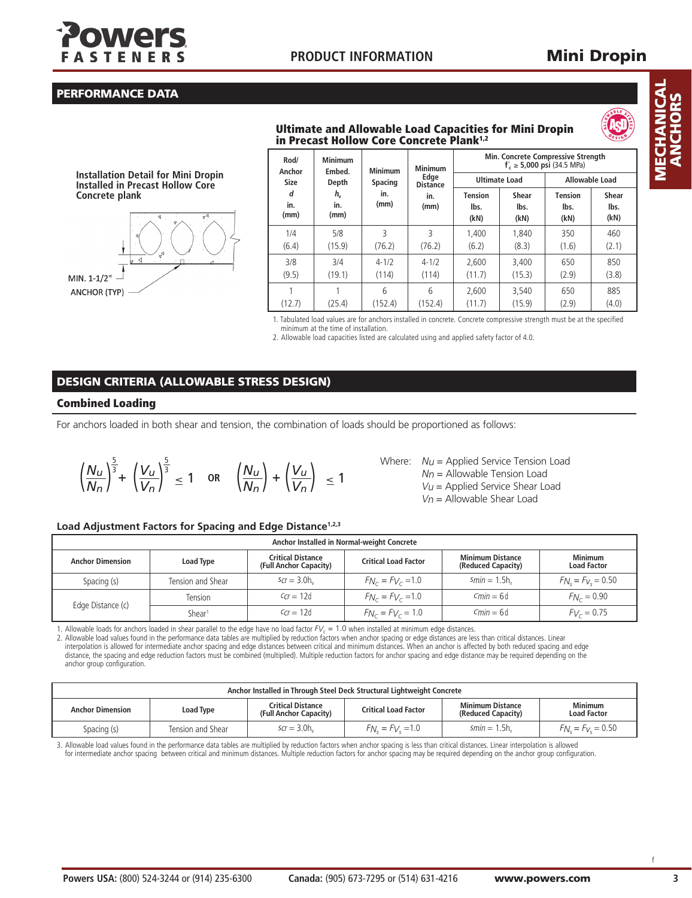

## Mini Dropin

### Performance Data

### Ultimate and Allowable Load Capacities for Mini Dropin in Precast Hollow Core Concrete Plank1,2



**Installation Detail for Mini Dropin Installed in Precast Hollow Core Concrete plank**



| Rod/<br>Anchor   | <b>Minimum</b><br>Embed.   | <b>Minimum</b>     | <b>Minimum</b>          |                                | Min. Concrete Compressive Strength<br>$f'_c \ge 5,000 \text{ psi}$ (34.5 MPa) |                         |                       |
|------------------|----------------------------|--------------------|-------------------------|--------------------------------|-------------------------------------------------------------------------------|-------------------------|-----------------------|
| <b>Size</b>      | Depth                      | <b>Spacing</b>     | Edge<br><b>Distance</b> | <b>Ultimate Load</b>           |                                                                               | Allowable Load          |                       |
| d<br>in.<br>(mm) | $h_{\rm v}$<br>in.<br>(mm) | in.<br>(mm)        | in.<br>(mm)             | <b>Tension</b><br>lbs.<br>(kN) | <b>Shear</b><br>lbs.<br>(kN)                                                  | Tension<br>lbs.<br>(kN) | Shear<br>lbs.<br>(kN) |
| 1/4<br>(6.4)     | 5/8<br>(15.9)              | 3<br>(76.2)        | 3<br>(76.2)             | 1.400<br>(6.2)                 | 1.840<br>(8.3)                                                                | 350<br>(1.6)            | 460<br>(2.1)          |
| 3/8<br>(9.5)     | 3/4<br>(19.1)              | $4 - 1/2$<br>(114) | $4 - 1/2$<br>(114)      | 2.600<br>(11.7)                | 3.400<br>(15.3)                                                               | 650<br>(2.9)            | 850<br>(3.8)          |
| (12.7)           | (25.4)                     | 6<br>(152.4)       | 6<br>(152.4)            | 2.600<br>(11.7)                | 3.540<br>(15.9)                                                               | 650<br>(2.9)            | 885<br>(4.0)          |

1. Tabulated load values are for anchors installed in concrete. Concrete compressive strength must be at the specified minimum at the time of installation.

2. Allowable load capacities listed are calculated using and applied safety factor of 4.0.

### DESIGN CRITERIA (ALLOWABLE STRESS DESIGN)

### Combined Loading

For anchors loaded in both shear and tension, the combination of loads should be proportioned as follows:

$$
\left(\frac{N_u}{N_n}\right)^{\frac{5}{3}} + \left(\frac{V_u}{V_n}\right)^{\frac{5}{3}} \le 1 \quad \text{or} \quad \left(\frac{N_u}{N_n}\right) + \left(\frac{V_u}{V_n}\right) \le 1
$$

Where:  $N_U =$  Applied Service Tension Load  $Nn =$  Allowable Tension Load  $Vu =$  Applied Service Shear Load  $V_n$  = Allowable Shear Load

### **Load Adjustment Factors for Spacing and Edge Distance1,2,3**

| Anchor Installed in Normal-weight Concrete |                    |                                                    |                             |                                               |                                      |
|--------------------------------------------|--------------------|----------------------------------------------------|-----------------------------|-----------------------------------------------|--------------------------------------|
| <b>Anchor Dimension</b>                    | Load Type          | <b>Critical Distance</b><br>(Full Anchor Capacity) | <b>Critical Load Factor</b> | <b>Minimum Distance</b><br>(Reduced Capacity) | <b>Minimum</b><br><b>Load Factor</b> |
| Spacing (s)                                | Tension and Shear  | $Scr = 3.0h$                                       | $F_{N_c} = F_{V_c} = 1.0$   | $Smin = 1.5h$                                 | $F_{N_c} = F_{V_c} = 0.50$           |
|                                            | Tension            | $Ccr = 12d$                                        | $F_{N_c} = F_{V_c} = 1.0$   | $Cmin = 6d$                                   | $F_{N_c} = 0.90$                     |
| Edge Distance (c)                          | Shear <sup>1</sup> | $Ccr = 12d$                                        | $F_{N_c} = F_{V_c} = 1.0$   | $Cmin = 6d$                                   | $F_{V_c} = 0.75$                     |

1. Allowable loads for anchors loaded in shear parallel to the edge have no load factor  $FV_c = 1.0$  when installed at minimum edge distances.

2. Allowable load values found in the performance data tables are multiplied by reduction factors when anchor spacing or edge distances are less than critical distances. Linear interpolation is allowed for intermediate anchor spacing and edge distances between critical and minimum distances. When an anchor is affected by both reduced spacing and edge distance, the spacing and edge reduction factors must be combined (multiplied). Multiple reduction factors for anchor spacing and edge distance may be required depending on the anchor group configuration.

| Anchor Installed in Through Steel Deck Structural Lightweight Concrete |                   |                                                    |                             |                                               |                                      |
|------------------------------------------------------------------------|-------------------|----------------------------------------------------|-----------------------------|-----------------------------------------------|--------------------------------------|
| <b>Anchor Dimension</b>                                                | <b>Load Type</b>  | <b>Critical Distance</b><br>(Full Anchor Capacity) | <b>Critical Load Factor</b> | <b>Minimum Distance</b><br>(Reduced Capacity) | <b>Minimum</b><br><b>Load Factor</b> |
| Spacing (s)                                                            | Tension and Shear | $Scr = 3.0h$                                       | $F_{N_c} = F_{V_c} = 1.0$   | $5\text{min} = 1.5\text{h}$                   | $F_{N_c} = F_{V_c} = 0.50$           |

3. Allowable load values found in the performance data tables are multiplied by reduction factors when anchor spacing is less than critical distances. Linear interpolation is allowed for intermediate anchor spacing between critical and minimum distances. Multiple reduction factors for anchor spacing may be required depending on the anchor group configuration. *MECHANICAL* ANCHORS